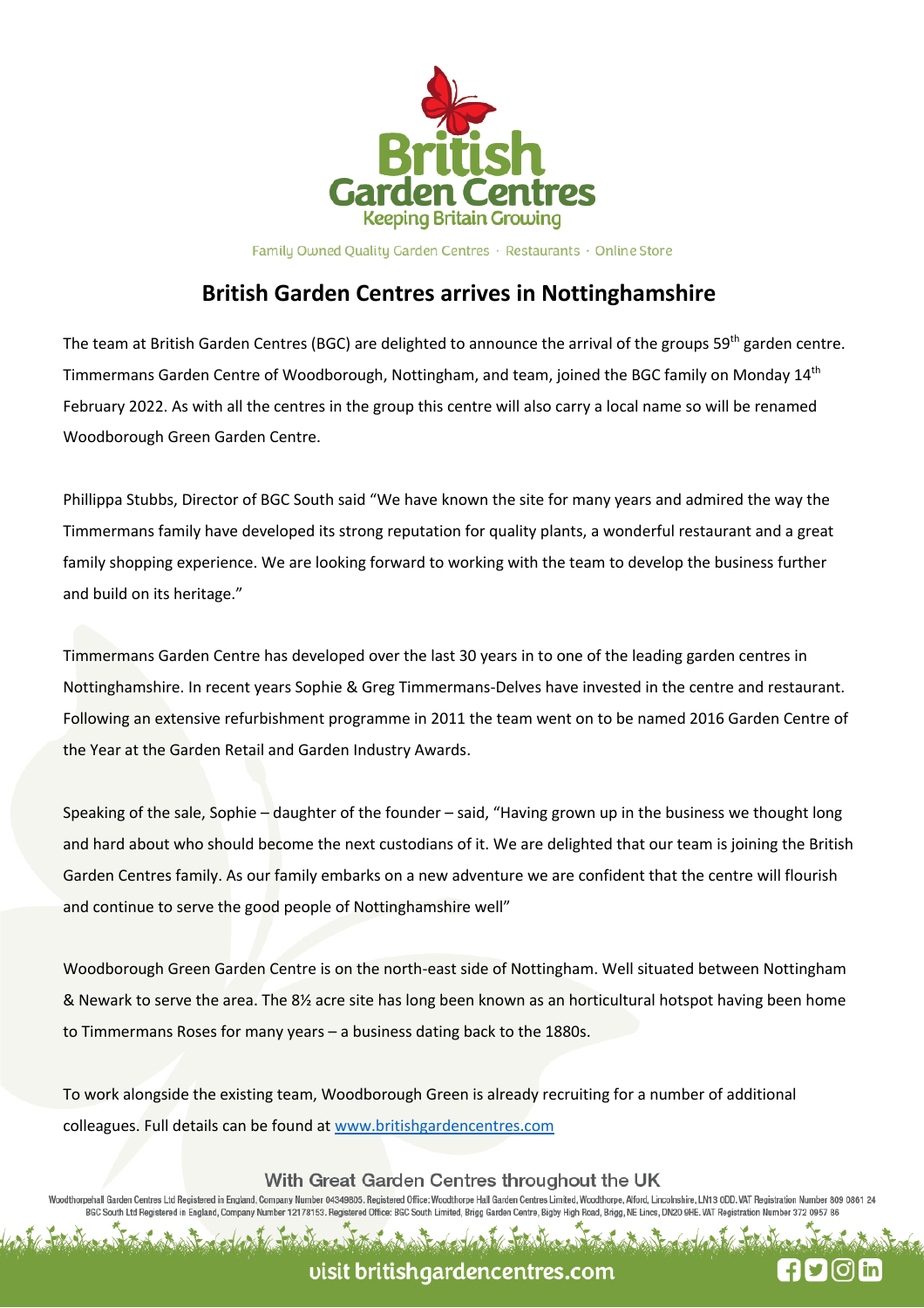

Family Owned Quality Garden Centres · Restaurants · Online Store

## **British Garden Centres arrives in Nottinghamshire**

The team at British Garden Centres (BGC) are delighted to announce the arrival of the groups 59<sup>th</sup> garden centre. Timmermans Garden Centre of Woodborough, Nottingham, and team, joined the BGC family on Monday 14<sup>th</sup> February 2022. As with all the centres in the group this centre will also carry a local name so will be renamed Woodborough Green Garden Centre.

Phillippa Stubbs, Director of BGC South said "We have known the site for many years and admired the way the Timmermans family have developed its strong reputation for quality plants, a wonderful restaurant and a great family shopping experience. We are looking forward to working with the team to develop the business further and build on its heritage."

Timmermans Garden Centre has developed over the last 30 years in to one of the leading garden centres in Nottinghamshire. In recent years Sophie & Greg Timmermans-Delves have invested in the centre and restaurant. Following an extensive refurbishment programme in 2011 the team went on to be named 2016 Garden Centre of the Year at the Garden Retail and Garden Industry Awards.

Speaking of the sale, Sophie – daughter of the founder – said, "Having grown up in the business we thought long and hard about who should become the next custodians of it. We are delighted that our team is joining the British Garden Centres family. As our family embarks on a new adventure we are confident that the centre will flourish and continue to serve the good people of Nottinghamshire well"

Woodborough Green Garden Centre is on the north-east side of Nottingham. Well situated between Nottingham & Newark to serve the area. The 8½ acre site has long been known as an horticultural hotspot having been home to Timmermans Roses for many years – a business dating back to the 1880s.

To work alongside the existing team, Woodborough Green is already recruiting for a number of additional colleagues. Full details can be found at www.britishgardencentres.com

With Great Garden Centres throughout the UK

orpehall Garden Centres Ltd Registered in England, Company Number 04349805. Registered Office: Woodthorpe Hall Garden Centres Limited, Woodthorpe, Alford, Lincolnshire, LN13 0DD. VAT Registration Number 809 0861 2 BGC South Ltd Registered in England, Company Number 12178153. Registered Office: BGC South Limited, Brigg Garden Centre, Bigby High Road, Brigg, NE Lincs, DN20 9HE. VAT Registration Number 372 0957 86

## visit britishgardencentres.com